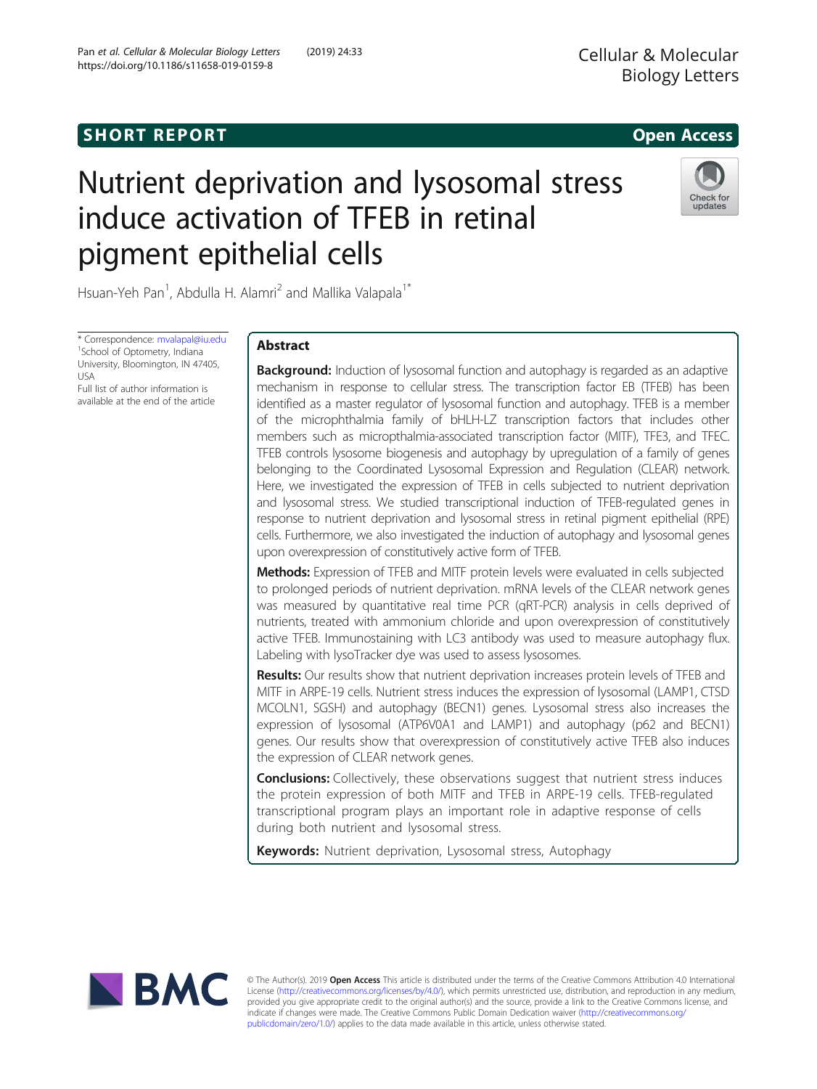# Nutrient deprivation and lysosomal stress induce activation of TFEB in retinal pigment epithelial cells



Hsuan-Yeh Pan<sup>1</sup>, Abdulla H. Alamri<sup>2</sup> and Mallika Valapala<sup>1\*</sup>

\* Correspondence: [mvalapal@iu.edu](mailto:mvalapal@iu.edu) <sup>1</sup> <sup>1</sup>School of Optometry, Indiana University, Bloomington, IN 47405, USA

Full list of author information is available at the end of the article

### Abstract

**Background:** Induction of lysosomal function and autophagy is regarded as an adaptive mechanism in response to cellular stress. The transcription factor EB (TFEB) has been identified as a master regulator of lysosomal function and autophagy. TFEB is a member of the microphthalmia family of bHLH-LZ transcription factors that includes other members such as micropthalmia-associated transcription factor (MITF), TFE3, and TFEC. TFEB controls lysosome biogenesis and autophagy by upregulation of a family of genes belonging to the Coordinated Lysosomal Expression and Regulation (CLEAR) network. Here, we investigated the expression of TFEB in cells subjected to nutrient deprivation and lysosomal stress. We studied transcriptional induction of TFEB-regulated genes in response to nutrient deprivation and lysosomal stress in retinal pigment epithelial (RPE) cells. Furthermore, we also investigated the induction of autophagy and lysosomal genes upon overexpression of constitutively active form of TFEB.

Methods: Expression of TFEB and MITF protein levels were evaluated in cells subjected to prolonged periods of nutrient deprivation. mRNA levels of the CLEAR network genes was measured by quantitative real time PCR (qRT-PCR) analysis in cells deprived of nutrients, treated with ammonium chloride and upon overexpression of constitutively active TFEB. Immunostaining with LC3 antibody was used to measure autophagy flux. Labeling with lysoTracker dye was used to assess lysosomes.

**Results:** Our results show that nutrient deprivation increases protein levels of TFEB and MITF in ARPE-19 cells. Nutrient stress induces the expression of lysosomal (LAMP1, CTSD MCOLN1, SGSH) and autophagy (BECN1) genes. Lysosomal stress also increases the expression of lysosomal (ATP6V0A1 and LAMP1) and autophagy (p62 and BECN1) genes. Our results show that overexpression of constitutively active TFEB also induces the expression of CLEAR network genes.

**Conclusions:** Collectively, these observations suggest that nutrient stress induces the protein expression of both MITF and TFEB in ARPE-19 cells. TFEB-regulated transcriptional program plays an important role in adaptive response of cells during both nutrient and lysosomal stress.

Keywords: Nutrient deprivation, Lysosomal stress, Autophagy



© The Author(s). 2019 Open Access This article is distributed under the terms of the Creative Commons Attribution 4.0 International License ([http://creativecommons.org/licenses/by/4.0/\)](http://creativecommons.org/licenses/by/4.0/), which permits unrestricted use, distribution, and reproduction in any medium, provided you give appropriate credit to the original author(s) and the source, provide a link to the Creative Commons license, and indicate if changes were made. The Creative Commons Public Domain Dedication waiver ([http://creativecommons.org/](http://creativecommons.org/publicdomain/zero/1.0/) [publicdomain/zero/1.0/\)](http://creativecommons.org/publicdomain/zero/1.0/) applies to the data made available in this article, unless otherwise stated.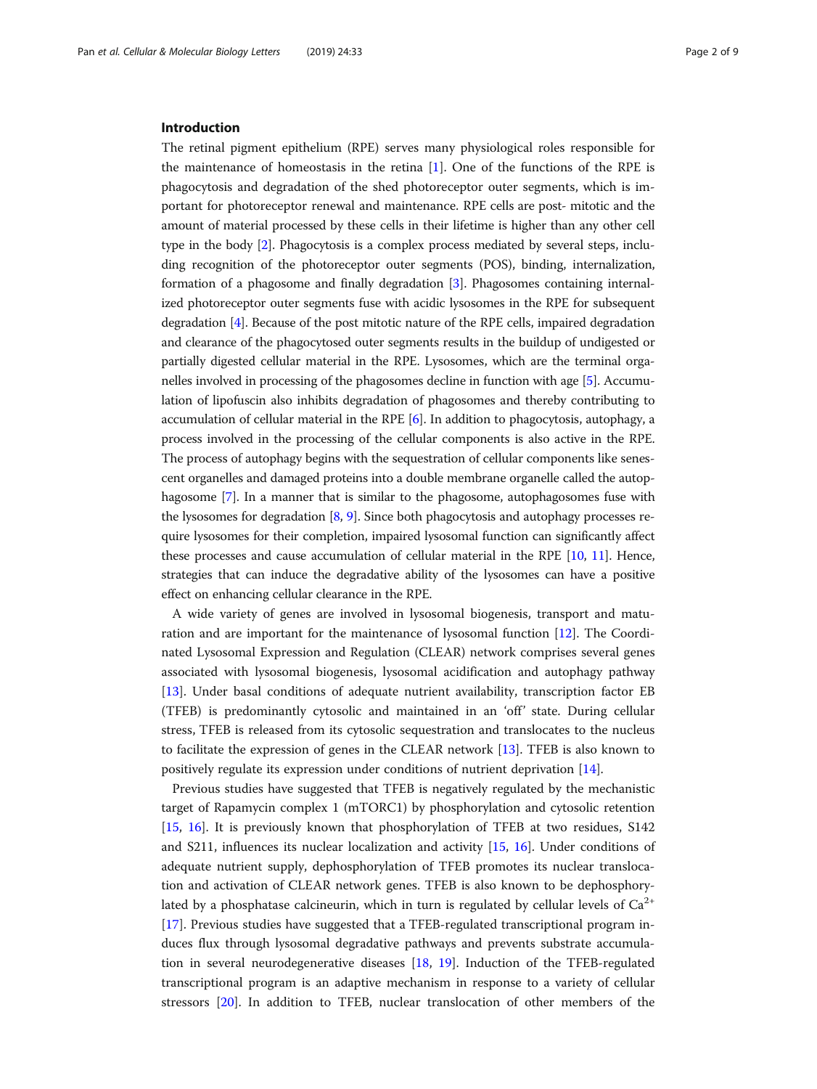### Introduction

The retinal pigment epithelium (RPE) serves many physiological roles responsible for the maintenance of homeostasis in the retina [\[1](#page-8-0)]. One of the functions of the RPE is phagocytosis and degradation of the shed photoreceptor outer segments, which is important for photoreceptor renewal and maintenance. RPE cells are post- mitotic and the amount of material processed by these cells in their lifetime is higher than any other cell type in the body [[2](#page-8-0)]. Phagocytosis is a complex process mediated by several steps, including recognition of the photoreceptor outer segments (POS), binding, internalization, formation of a phagosome and finally degradation [\[3](#page-8-0)]. Phagosomes containing internalized photoreceptor outer segments fuse with acidic lysosomes in the RPE for subsequent degradation [[4\]](#page-8-0). Because of the post mitotic nature of the RPE cells, impaired degradation and clearance of the phagocytosed outer segments results in the buildup of undigested or partially digested cellular material in the RPE. Lysosomes, which are the terminal organelles involved in processing of the phagosomes decline in function with age [[5](#page-8-0)]. Accumulation of lipofuscin also inhibits degradation of phagosomes and thereby contributing to accumulation of cellular material in the RPE [[6\]](#page-8-0). In addition to phagocytosis, autophagy, a process involved in the processing of the cellular components is also active in the RPE. The process of autophagy begins with the sequestration of cellular components like senescent organelles and damaged proteins into a double membrane organelle called the autophagosome [[7](#page-8-0)]. In a manner that is similar to the phagosome, autophagosomes fuse with the lysosomes for degradation [\[8](#page-8-0), [9\]](#page-8-0). Since both phagocytosis and autophagy processes require lysosomes for their completion, impaired lysosomal function can significantly affect these processes and cause accumulation of cellular material in the RPE [\[10,](#page-8-0) [11](#page-8-0)]. Hence, strategies that can induce the degradative ability of the lysosomes can have a positive effect on enhancing cellular clearance in the RPE.

A wide variety of genes are involved in lysosomal biogenesis, transport and maturation and are important for the maintenance of lysosomal function [\[12](#page-8-0)]. The Coordinated Lysosomal Expression and Regulation (CLEAR) network comprises several genes associated with lysosomal biogenesis, lysosomal acidification and autophagy pathway [[13\]](#page-8-0). Under basal conditions of adequate nutrient availability, transcription factor EB (TFEB) is predominantly cytosolic and maintained in an 'off' state. During cellular stress, TFEB is released from its cytosolic sequestration and translocates to the nucleus to facilitate the expression of genes in the CLEAR network [\[13\]](#page-8-0). TFEB is also known to positively regulate its expression under conditions of nutrient deprivation [\[14\]](#page-8-0).

Previous studies have suggested that TFEB is negatively regulated by the mechanistic target of Rapamycin complex 1 (mTORC1) by phosphorylation and cytosolic retention [[15,](#page-8-0) [16\]](#page-8-0). It is previously known that phosphorylation of TFEB at two residues, S142 and S211, influences its nuclear localization and activity [\[15,](#page-8-0) [16\]](#page-8-0). Under conditions of adequate nutrient supply, dephosphorylation of TFEB promotes its nuclear translocation and activation of CLEAR network genes. TFEB is also known to be dephosphorylated by a phosphatase calcineurin, which in turn is regulated by cellular levels of  $Ca^{2+}$ [[17\]](#page-8-0). Previous studies have suggested that a TFEB-regulated transcriptional program induces flux through lysosomal degradative pathways and prevents substrate accumulation in several neurodegenerative diseases [\[18](#page-8-0), [19](#page-8-0)]. Induction of the TFEB-regulated transcriptional program is an adaptive mechanism in response to a variety of cellular stressors [[20\]](#page-8-0). In addition to TFEB, nuclear translocation of other members of the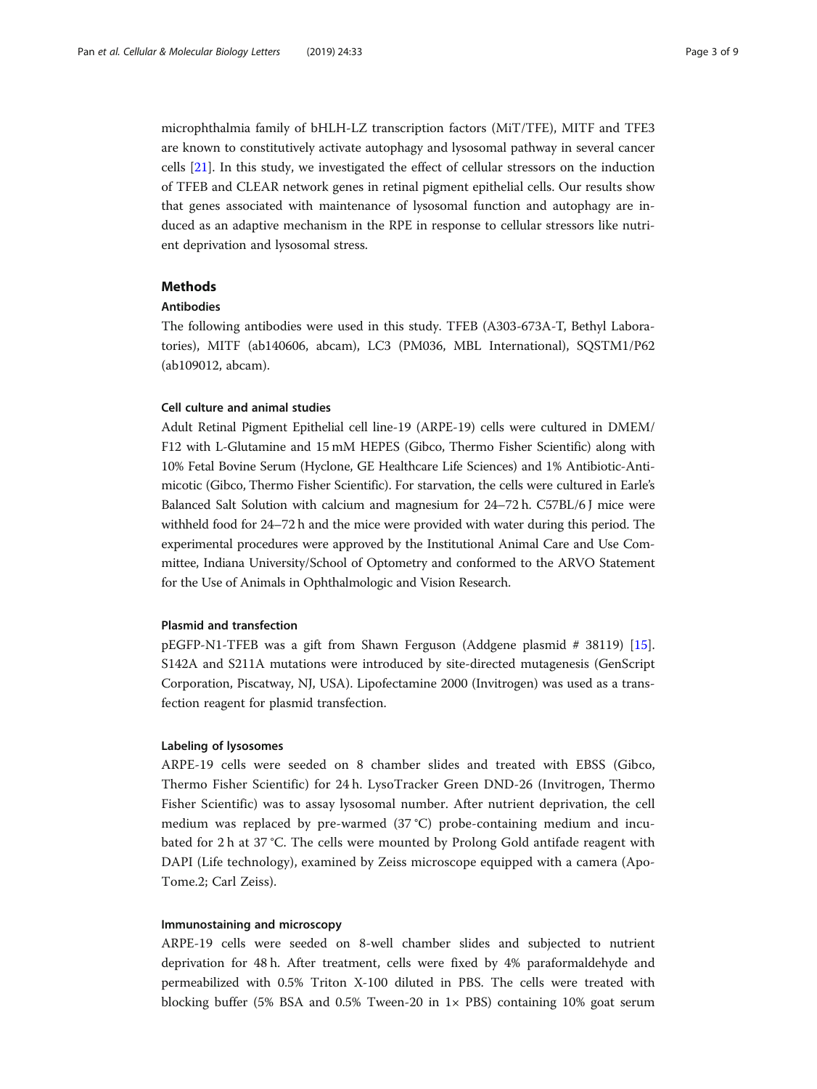microphthalmia family of bHLH-LZ transcription factors (MiT/TFE), MITF and TFE3 are known to constitutively activate autophagy and lysosomal pathway in several cancer cells [[21\]](#page-8-0). In this study, we investigated the effect of cellular stressors on the induction of TFEB and CLEAR network genes in retinal pigment epithelial cells. Our results show that genes associated with maintenance of lysosomal function and autophagy are induced as an adaptive mechanism in the RPE in response to cellular stressors like nutrient deprivation and lysosomal stress.

### Methods

### Antibodies

The following antibodies were used in this study. TFEB (A303-673A-T, Bethyl Laboratories), MITF (ab140606, abcam), LC3 (PM036, MBL International), SQSTM1/P62 (ab109012, abcam).

### Cell culture and animal studies

Adult Retinal Pigment Epithelial cell line-19 (ARPE-19) cells were cultured in DMEM/ F12 with L-Glutamine and 15 mM HEPES (Gibco, Thermo Fisher Scientific) along with 10% Fetal Bovine Serum (Hyclone, GE Healthcare Life Sciences) and 1% Antibiotic-Antimicotic (Gibco, Thermo Fisher Scientific). For starvation, the cells were cultured in Earle's Balanced Salt Solution with calcium and magnesium for 24–72 h. C57BL/6 J mice were withheld food for 24–72 h and the mice were provided with water during this period. The experimental procedures were approved by the Institutional Animal Care and Use Committee, Indiana University/School of Optometry and conformed to the ARVO Statement for the Use of Animals in Ophthalmologic and Vision Research.

### Plasmid and transfection

pEGFP-N1-TFEB was a gift from Shawn Ferguson (Addgene plasmid # 38119) [[15](#page-8-0)]. S142A and S211A mutations were introduced by site-directed mutagenesis (GenScript Corporation, Piscatway, NJ, USA). Lipofectamine 2000 (Invitrogen) was used as a transfection reagent for plasmid transfection.

### Labeling of lysosomes

ARPE-19 cells were seeded on 8 chamber slides and treated with EBSS (Gibco, Thermo Fisher Scientific) for 24 h. LysoTracker Green DND-26 (Invitrogen, Thermo Fisher Scientific) was to assay lysosomal number. After nutrient deprivation, the cell medium was replaced by pre-warmed (37 °C) probe-containing medium and incubated for 2 h at 37 °C. The cells were mounted by Prolong Gold antifade reagent with DAPI (Life technology), examined by Zeiss microscope equipped with a camera (Apo-Tome.2; Carl Zeiss).

### Immunostaining and microscopy

ARPE-19 cells were seeded on 8-well chamber slides and subjected to nutrient deprivation for 48 h. After treatment, cells were fixed by 4% paraformaldehyde and permeabilized with 0.5% Triton X-100 diluted in PBS. The cells were treated with blocking buffer (5% BSA and 0.5% Tween-20 in 1× PBS) containing 10% goat serum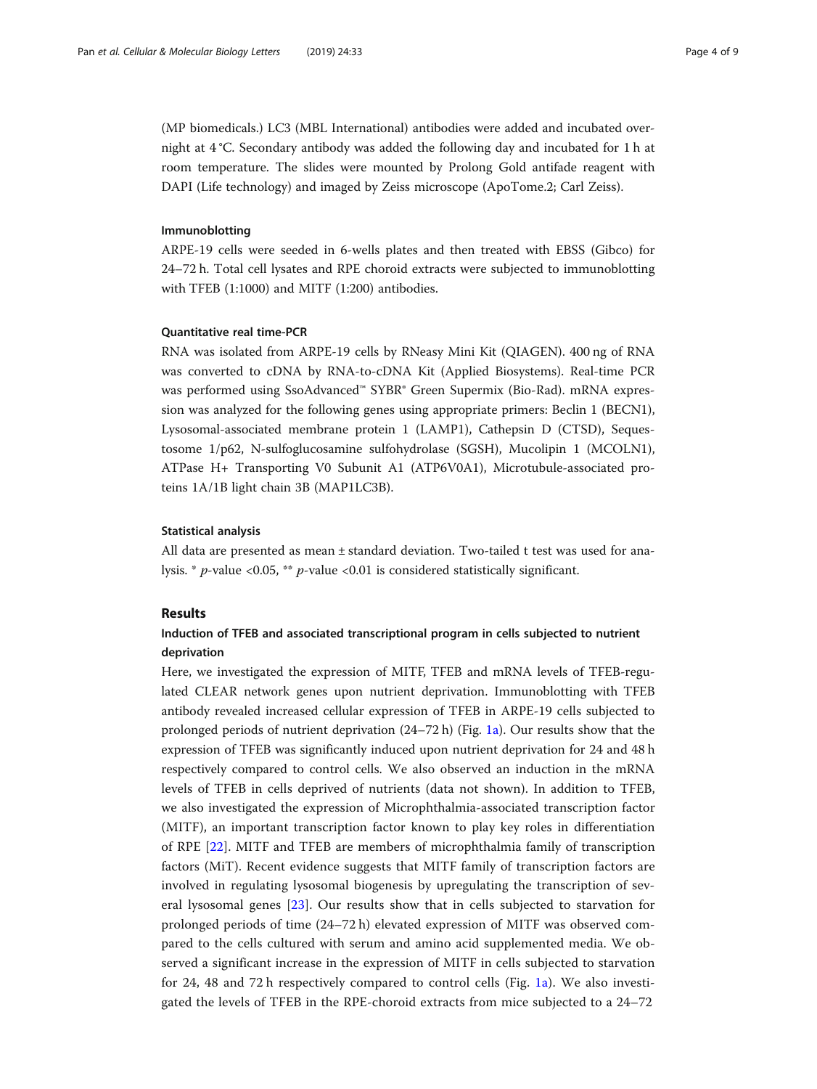(MP biomedicals.) LC3 (MBL International) antibodies were added and incubated overnight at 4 °C. Secondary antibody was added the following day and incubated for 1 h at room temperature. The slides were mounted by Prolong Gold antifade reagent with DAPI (Life technology) and imaged by Zeiss microscope (ApoTome.2; Carl Zeiss).

### Immunoblotting

ARPE-19 cells were seeded in 6-wells plates and then treated with EBSS (Gibco) for 24–72 h. Total cell lysates and RPE choroid extracts were subjected to immunoblotting with TFEB (1:1000) and MITF (1:200) antibodies.

### Quantitative real time-PCR

RNA was isolated from ARPE-19 cells by RNeasy Mini Kit (QIAGEN). 400 ng of RNA was converted to cDNA by RNA-to-cDNA Kit (Applied Biosystems). Real-time PCR was performed using SsoAdvanced™ SYBR® Green Supermix (Bio-Rad). mRNA expression was analyzed for the following genes using appropriate primers: Beclin 1 (BECN1), Lysosomal-associated membrane protein 1 (LAMP1), Cathepsin D (CTSD), Sequestosome 1/p62, N-sulfoglucosamine sulfohydrolase (SGSH), Mucolipin 1 (MCOLN1), ATPase H+ Transporting V0 Subunit A1 (ATP6V0A1), Microtubule-associated proteins 1A/1B light chain 3B (MAP1LC3B).

### Statistical analysis

All data are presented as mean  $\pm$  standard deviation. Two-tailed t test was used for analysis. \* p-value <0.05, \*\* p-value <0.01 is considered statistically significant.

### Results

### Induction of TFEB and associated transcriptional program in cells subjected to nutrient deprivation

Here, we investigated the expression of MITF, TFEB and mRNA levels of TFEB-regulated CLEAR network genes upon nutrient deprivation. Immunoblotting with TFEB antibody revealed increased cellular expression of TFEB in ARPE-19 cells subjected to prolonged periods of nutrient deprivation (24–72 h) (Fig. [1a\)](#page-4-0). Our results show that the expression of TFEB was significantly induced upon nutrient deprivation for 24 and 48 h respectively compared to control cells. We also observed an induction in the mRNA levels of TFEB in cells deprived of nutrients (data not shown). In addition to TFEB, we also investigated the expression of Microphthalmia-associated transcription factor (MITF), an important transcription factor known to play key roles in differentiation of RPE [[22](#page-8-0)]. MITF and TFEB are members of microphthalmia family of transcription factors (MiT). Recent evidence suggests that MITF family of transcription factors are involved in regulating lysosomal biogenesis by upregulating the transcription of several lysosomal genes [\[23](#page-8-0)]. Our results show that in cells subjected to starvation for prolonged periods of time (24–72 h) elevated expression of MITF was observed compared to the cells cultured with serum and amino acid supplemented media. We observed a significant increase in the expression of MITF in cells subjected to starvation for 24, 48 and 72 h respectively compared to control cells (Fig. [1a\)](#page-4-0). We also investigated the levels of TFEB in the RPE-choroid extracts from mice subjected to a 24–72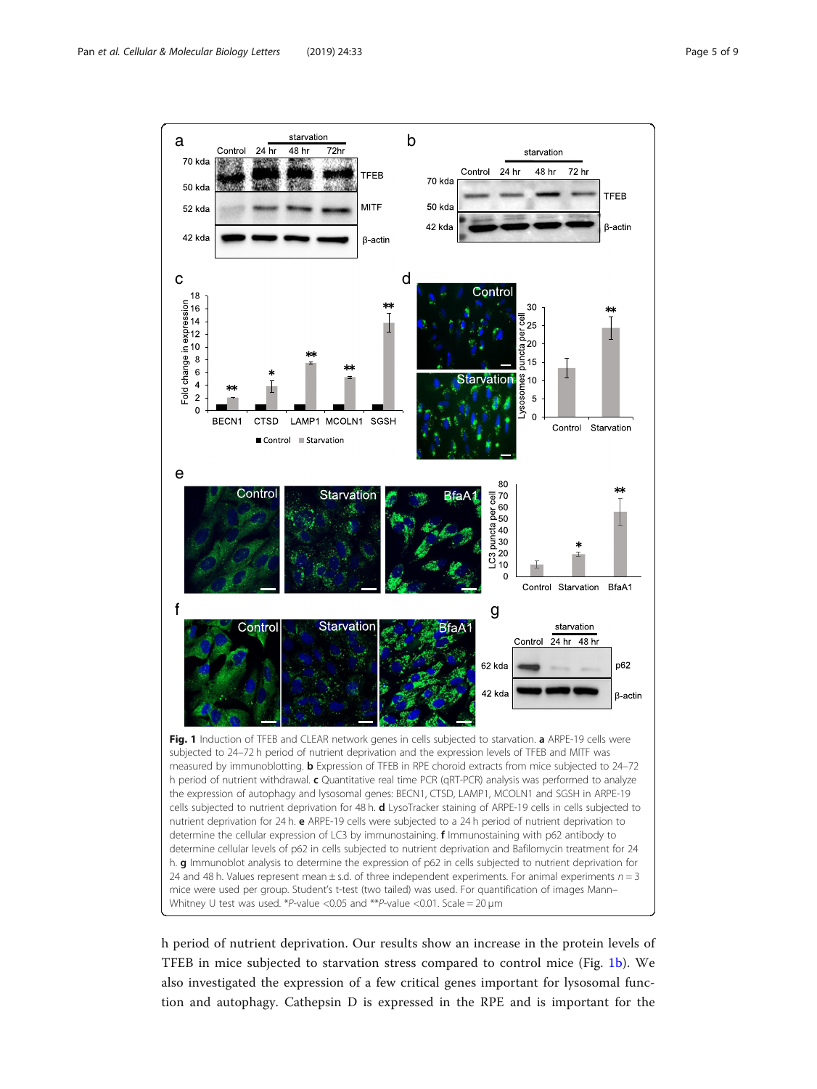<span id="page-4-0"></span>

h period of nutrient deprivation. Our results show an increase in the protein levels of TFEB in mice subjected to starvation stress compared to control mice (Fig. 1b). We also investigated the expression of a few critical genes important for lysosomal function and autophagy. Cathepsin D is expressed in the RPE and is important for the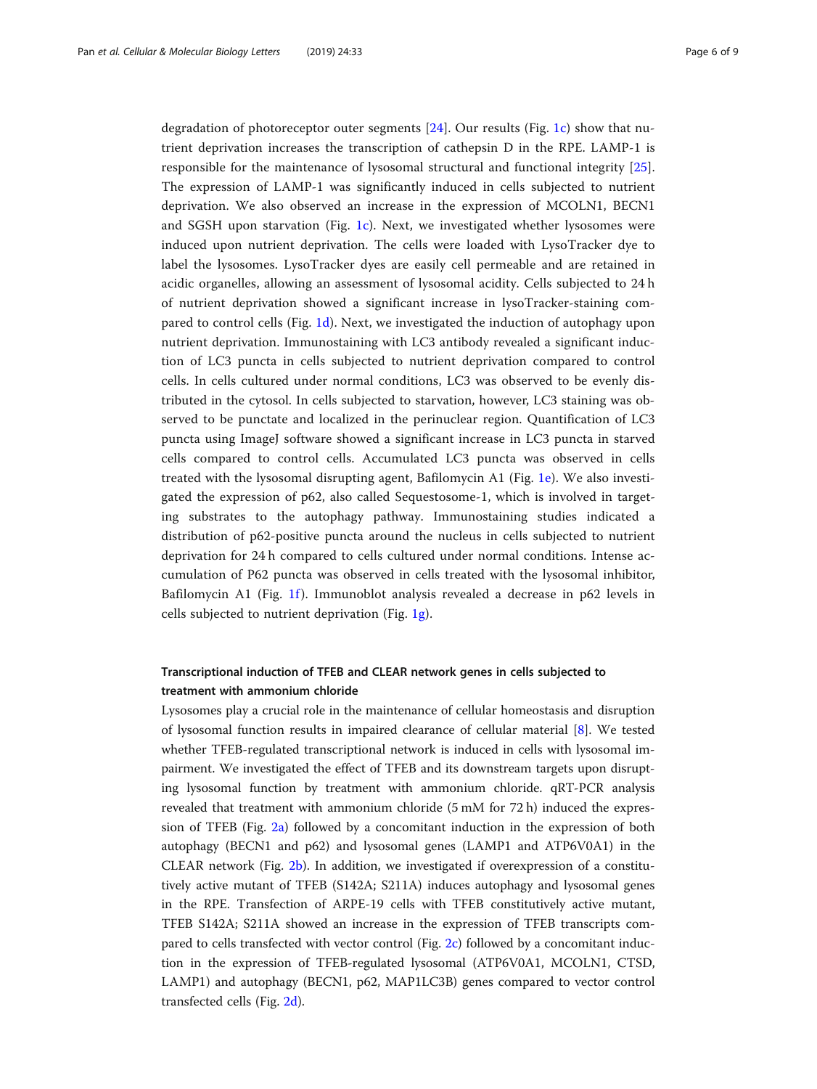degradation of photoreceptor outer segments [\[24](#page-8-0)]. Our results (Fig. [1c\)](#page-4-0) show that nutrient deprivation increases the transcription of cathepsin D in the RPE. LAMP-1 is responsible for the maintenance of lysosomal structural and functional integrity [\[25](#page-8-0)]. The expression of LAMP-1 was significantly induced in cells subjected to nutrient deprivation. We also observed an increase in the expression of MCOLN1, BECN1 and SGSH upon starvation (Fig. [1c\)](#page-4-0). Next, we investigated whether lysosomes were induced upon nutrient deprivation. The cells were loaded with LysoTracker dye to label the lysosomes. LysoTracker dyes are easily cell permeable and are retained in acidic organelles, allowing an assessment of lysosomal acidity. Cells subjected to 24 h of nutrient deprivation showed a significant increase in lysoTracker-staining compared to control cells (Fig. [1d](#page-4-0)). Next, we investigated the induction of autophagy upon nutrient deprivation. Immunostaining with LC3 antibody revealed a significant induction of LC3 puncta in cells subjected to nutrient deprivation compared to control cells. In cells cultured under normal conditions, LC3 was observed to be evenly distributed in the cytosol. In cells subjected to starvation, however, LC3 staining was observed to be punctate and localized in the perinuclear region. Quantification of LC3 puncta using ImageJ software showed a significant increase in LC3 puncta in starved cells compared to control cells. Accumulated LC3 puncta was observed in cells treated with the lysosomal disrupting agent, Bafilomycin A1 (Fig. [1e\)](#page-4-0). We also investigated the expression of p62, also called Sequestosome-1, which is involved in targeting substrates to the autophagy pathway. Immunostaining studies indicated a distribution of p62-positive puncta around the nucleus in cells subjected to nutrient deprivation for 24 h compared to cells cultured under normal conditions. Intense accumulation of P62 puncta was observed in cells treated with the lysosomal inhibitor, Bafilomycin A1 (Fig. [1f](#page-4-0)). Immunoblot analysis revealed a decrease in p62 levels in cells subjected to nutrient deprivation (Fig.  $1g$ ).

## Transcriptional induction of TFEB and CLEAR network genes in cells subjected to treatment with ammonium chloride

Lysosomes play a crucial role in the maintenance of cellular homeostasis and disruption of lysosomal function results in impaired clearance of cellular material [\[8](#page-8-0)]. We tested whether TFEB-regulated transcriptional network is induced in cells with lysosomal impairment. We investigated the effect of TFEB and its downstream targets upon disrupting lysosomal function by treatment with ammonium chloride. qRT-PCR analysis revealed that treatment with ammonium chloride (5 mM for 72 h) induced the expression of TFEB (Fig. [2a](#page-6-0)) followed by a concomitant induction in the expression of both autophagy (BECN1 and p62) and lysosomal genes (LAMP1 and ATP6V0A1) in the CLEAR network (Fig. [2b\)](#page-6-0). In addition, we investigated if overexpression of a constitutively active mutant of TFEB (S142A; S211A) induces autophagy and lysosomal genes in the RPE. Transfection of ARPE-19 cells with TFEB constitutively active mutant, TFEB S142A; S211A showed an increase in the expression of TFEB transcripts compared to cells transfected with vector control (Fig. [2c\)](#page-6-0) followed by a concomitant induction in the expression of TFEB-regulated lysosomal (ATP6V0A1, MCOLN1, CTSD, LAMP1) and autophagy (BECN1, p62, MAP1LC3B) genes compared to vector control transfected cells (Fig. [2d\)](#page-6-0).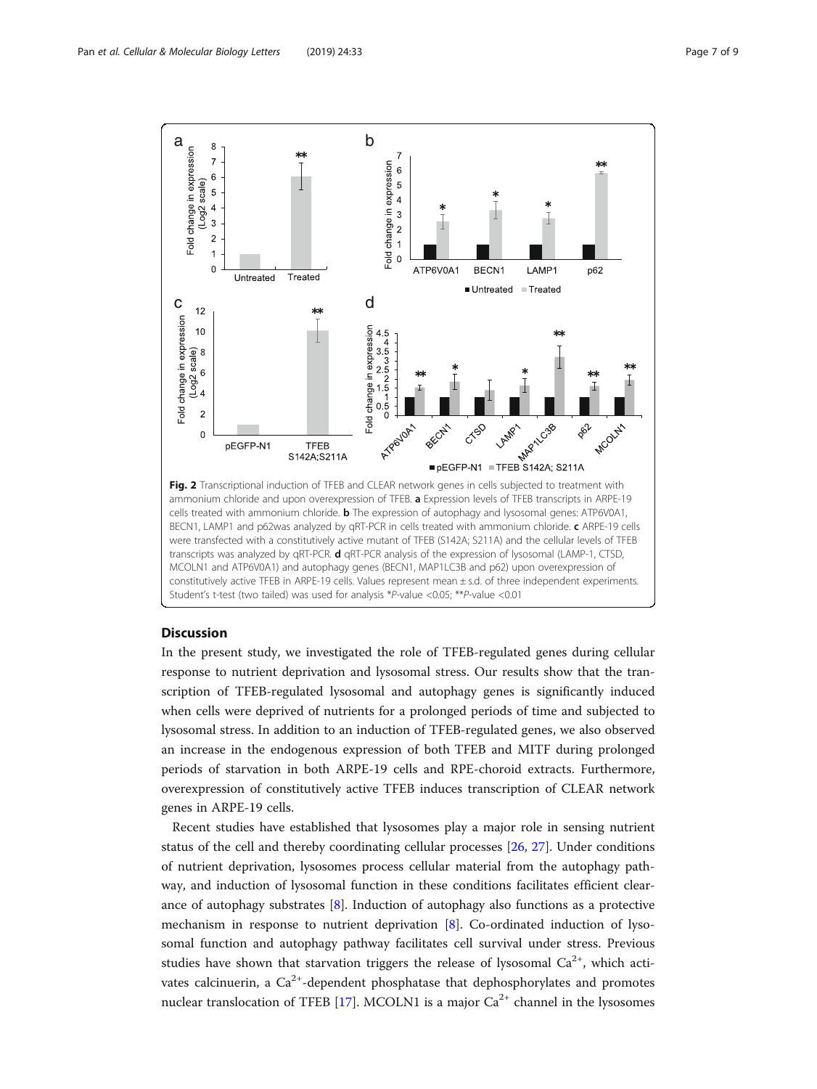<span id="page-6-0"></span>

cells treated with ammonium chloride. **b** The expression of autophagy and lysosomal genes: ATP6V0A1, BECN1, LAMP1 and p62was analyzed by qRT-PCR in cells treated with ammonium chloride. c ARPE-19 cells were transfected with a constitutively active mutant of TFEB (S142A; S211A) and the cellular levels of TFEB transcripts was analyzed by qRT-PCR. d qRT-PCR analysis of the expression of lysosomal (LAMP-1, CTSD, MCOLN1 and ATP6V0A1) and autophagy genes (BECN1, MAP1LC3B and p62) upon overexpression of constitutively active TFEB in ARPE-19 cells. Values represent mean ± s.d. of three independent experiments. Student's t-test (two tailed) was used for analysis \*P-value <0.05; \*\*P-value <0.01

### **Discussion**

In the present study, we investigated the role of TFEB-regulated genes during cellular response to nutrient deprivation and lysosomal stress. Our results show that the transcription of TFEB-regulated lysosomal and autophagy genes is significantly induced when cells were deprived of nutrients for a prolonged periods of time and subjected to lysosomal stress. In addition to an induction of TFEB-regulated genes, we also observed an increase in the endogenous expression of both TFEB and MITF during prolonged periods of starvation in both ARPE-19 cells and RPE-choroid extracts. Furthermore, overexpression of constitutively active TFEB induces transcription of CLEAR network genes in ARPE-19 cells.

Recent studies have established that lysosomes play a major role in sensing nutrient status of the cell and thereby coordinating cellular processes [[26,](#page-8-0) [27\]](#page-8-0). Under conditions of nutrient deprivation, lysosomes process cellular material from the autophagy pathway, and induction of lysosomal function in these conditions facilitates efficient clearance of autophagy substrates [\[8](#page-8-0)]. Induction of autophagy also functions as a protective mechanism in response to nutrient deprivation [\[8](#page-8-0)]. Co-ordinated induction of lysosomal function and autophagy pathway facilitates cell survival under stress. Previous studies have shown that starvation triggers the release of lysosomal  $Ca^{2+}$ , which activates calcinuerin, a  $Ca^{2+}$ -dependent phosphatase that dephosphorylates and promotes nuclear translocation of TFEB [[17\]](#page-8-0). MCOLN1 is a major  $Ca<sup>2+</sup>$  channel in the lysosomes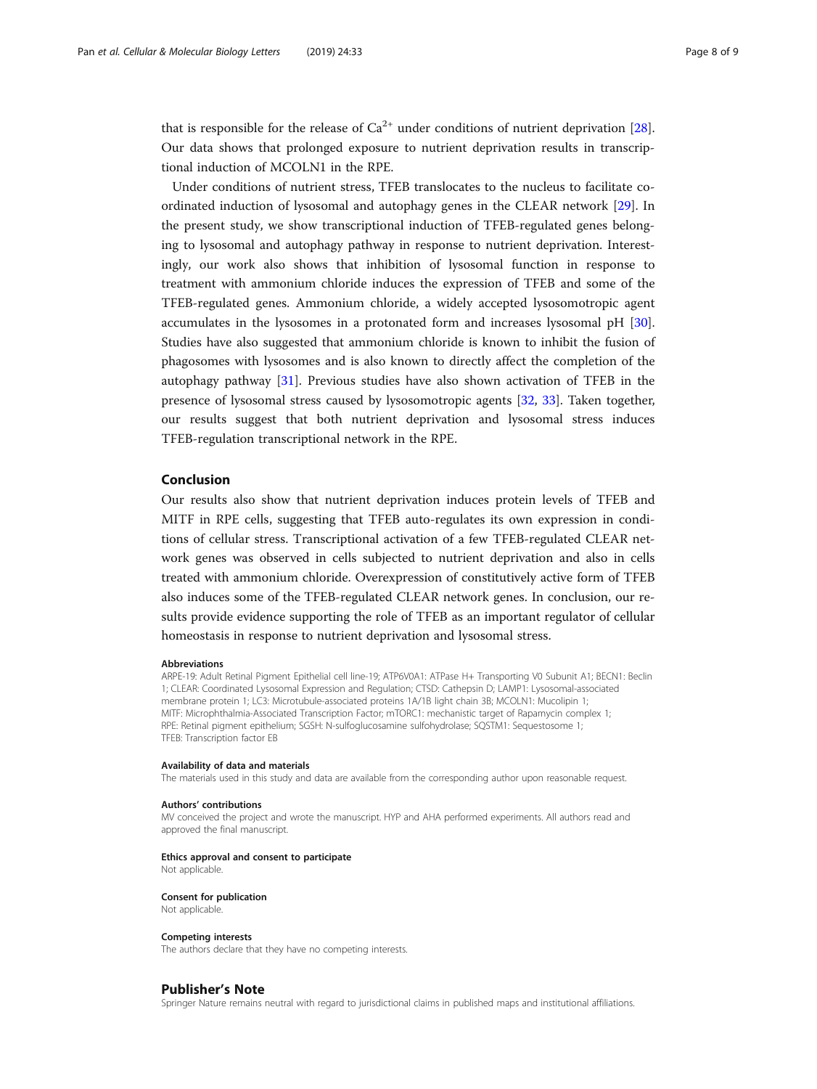that is responsible for the release of  $Ca^{2+}$  under conditions of nutrient deprivation [[28](#page-8-0)]. Our data shows that prolonged exposure to nutrient deprivation results in transcriptional induction of MCOLN1 in the RPE.

Under conditions of nutrient stress, TFEB translocates to the nucleus to facilitate coordinated induction of lysosomal and autophagy genes in the CLEAR network [\[29](#page-8-0)]. In the present study, we show transcriptional induction of TFEB-regulated genes belonging to lysosomal and autophagy pathway in response to nutrient deprivation. Interestingly, our work also shows that inhibition of lysosomal function in response to treatment with ammonium chloride induces the expression of TFEB and some of the TFEB-regulated genes. Ammonium chloride, a widely accepted lysosomotropic agent accumulates in the lysosomes in a protonated form and increases lysosomal pH [[30](#page-8-0)]. Studies have also suggested that ammonium chloride is known to inhibit the fusion of phagosomes with lysosomes and is also known to directly affect the completion of the autophagy pathway [[31\]](#page-8-0). Previous studies have also shown activation of TFEB in the presence of lysosomal stress caused by lysosomotropic agents [[32,](#page-8-0) [33](#page-8-0)]. Taken together, our results suggest that both nutrient deprivation and lysosomal stress induces TFEB-regulation transcriptional network in the RPE.

### Conclusion

Our results also show that nutrient deprivation induces protein levels of TFEB and MITF in RPE cells, suggesting that TFEB auto-regulates its own expression in conditions of cellular stress. Transcriptional activation of a few TFEB-regulated CLEAR network genes was observed in cells subjected to nutrient deprivation and also in cells treated with ammonium chloride. Overexpression of constitutively active form of TFEB also induces some of the TFEB-regulated CLEAR network genes. In conclusion, our results provide evidence supporting the role of TFEB as an important regulator of cellular homeostasis in response to nutrient deprivation and lysosomal stress.

#### Abbreviations

ARPE-19: Adult Retinal Pigment Epithelial cell line-19; ATP6V0A1: ATPase H+ Transporting V0 Subunit A1; BECN1: Beclin 1; CLEAR: Coordinated Lysosomal Expression and Regulation; CTSD: Cathepsin D; LAMP1: Lysosomal-associated membrane protein 1; LC3: Microtubule-associated proteins 1A/1B light chain 3B; MCOLN1: Mucolipin 1; MITF: Microphthalmia-Associated Transcription Factor; mTORC1: mechanistic target of Rapamycin complex 1; RPE: Retinal pigment epithelium; SGSH: N-sulfoglucosamine sulfohydrolase; SQSTM1: Sequestosome 1; TFEB: Transcription factor EB

### Availability of data and materials

The materials used in this study and data are available from the corresponding author upon reasonable request.

### Authors' contributions

MV conceived the project and wrote the manuscript. HYP and AHA performed experiments. All authors read and approved the final manuscript.

#### Ethics approval and consent to participate

Not applicable.

### Consent for publication

Not applicable.

### Competing interests

The authors declare that they have no competing interests.

### Publisher's Note

Springer Nature remains neutral with regard to jurisdictional claims in published maps and institutional affiliations.